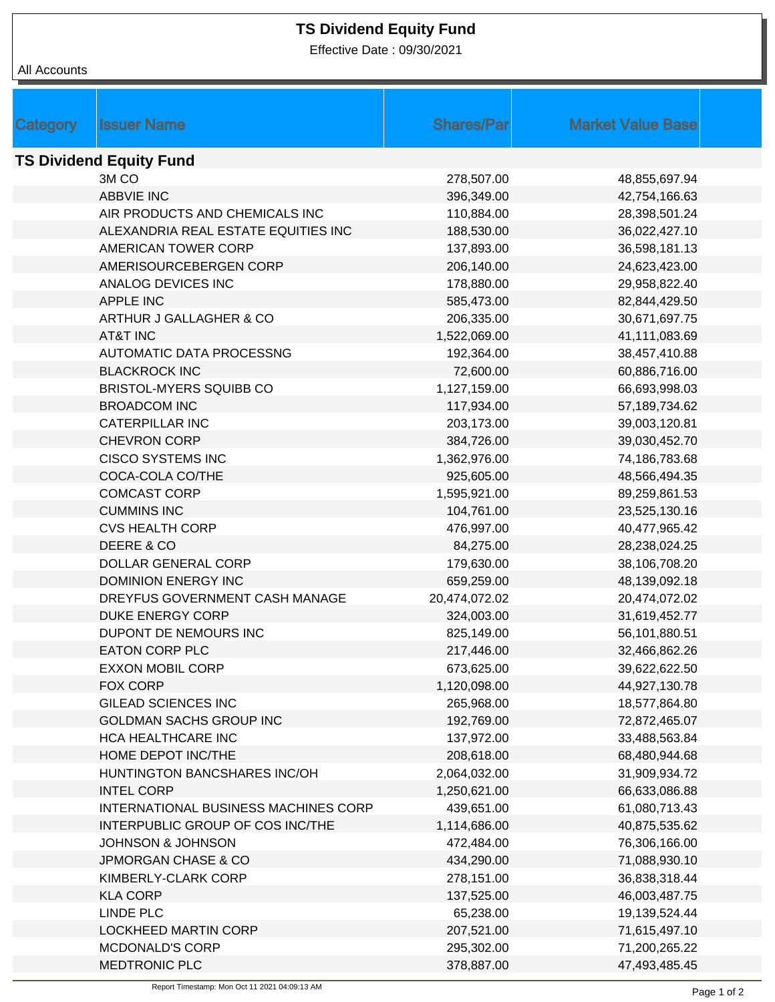## **TS Dividend Equity Fund**

Effective Date : 09/30/2021

|                                | <b>Issuer Name</b>                          | <b>Shares/Par</b> | <b>Market Value Base</b> |  |  |  |  |
|--------------------------------|---------------------------------------------|-------------------|--------------------------|--|--|--|--|
| Category                       |                                             |                   |                          |  |  |  |  |
| <b>TS Dividend Equity Fund</b> |                                             |                   |                          |  |  |  |  |
|                                | 3M <sub>CO</sub>                            | 278,507.00        | 48,855,697.94            |  |  |  |  |
|                                | <b>ABBVIE INC</b>                           | 396,349.00        | 42,754,166.63            |  |  |  |  |
|                                | AIR PRODUCTS AND CHEMICALS INC              | 110,884.00        | 28,398,501.24            |  |  |  |  |
|                                | ALEXANDRIA REAL ESTATE EQUITIES INC         | 188,530.00        | 36,022,427.10            |  |  |  |  |
|                                | AMERICAN TOWER CORP                         | 137,893.00        | 36,598,181.13            |  |  |  |  |
|                                | AMERISOURCEBERGEN CORP                      | 206,140.00        | 24,623,423.00            |  |  |  |  |
|                                | ANALOG DEVICES INC                          | 178,880.00        | 29,958,822.40            |  |  |  |  |
|                                | <b>APPLE INC</b>                            | 585,473.00        | 82,844,429.50            |  |  |  |  |
|                                | ARTHUR J GALLAGHER & CO                     | 206,335.00        | 30,671,697.75            |  |  |  |  |
|                                | <b>AT&amp;T INC</b>                         | 1,522,069.00      | 41,111,083.69            |  |  |  |  |
|                                | <b>AUTOMATIC DATA PROCESSNG</b>             | 192,364.00        | 38,457,410.88            |  |  |  |  |
|                                | <b>BLACKROCK INC</b>                        | 72,600.00         | 60,886,716.00            |  |  |  |  |
|                                | BRISTOL-MYERS SQUIBB CO                     | 1,127,159.00      | 66,693,998.03            |  |  |  |  |
|                                | <b>BROADCOM INC</b>                         | 117,934.00        | 57,189,734.62            |  |  |  |  |
|                                | <b>CATERPILLAR INC</b>                      | 203,173.00        | 39,003,120.81            |  |  |  |  |
|                                | <b>CHEVRON CORP</b>                         | 384,726.00        | 39,030,452.70            |  |  |  |  |
|                                | <b>CISCO SYSTEMS INC</b>                    | 1,362,976.00      | 74,186,783.68            |  |  |  |  |
|                                | COCA-COLA CO/THE                            | 925,605.00        | 48,566,494.35            |  |  |  |  |
|                                | <b>COMCAST CORP</b>                         | 1,595,921.00      | 89,259,861.53            |  |  |  |  |
|                                | <b>CUMMINS INC</b>                          | 104,761.00        | 23,525,130.16            |  |  |  |  |
|                                | <b>CVS HEALTH CORP</b>                      | 476,997.00        | 40,477,965.42            |  |  |  |  |
|                                | DEERE & CO                                  | 84,275.00         | 28,238,024.25            |  |  |  |  |
|                                | DOLLAR GENERAL CORP                         | 179,630.00        | 38,106,708.20            |  |  |  |  |
|                                | <b>DOMINION ENERGY INC</b>                  | 659,259.00        | 48,139,092.18            |  |  |  |  |
|                                | DREYFUS GOVERNMENT CASH MANAGE              | 20,474,072.02     | 20,474,072.02            |  |  |  |  |
|                                | DUKE ENERGY CORP                            | 324,003.00        | 31,619,452.77            |  |  |  |  |
|                                | DUPONT DE NEMOURS INC                       | 825,149.00        | 56,101,880.51            |  |  |  |  |
|                                | <b>EATON CORP PLC</b>                       | 217,446.00        | 32,466,862.26            |  |  |  |  |
|                                | <b>EXXON MOBIL CORP</b>                     | 673,625.00        | 39,622,622.50            |  |  |  |  |
|                                | FOX CORP                                    | 1,120,098.00      | 44,927,130.78            |  |  |  |  |
|                                | <b>GILEAD SCIENCES INC</b>                  | 265,968.00        | 18,577,864.80            |  |  |  |  |
|                                | <b>GOLDMAN SACHS GROUP INC</b>              | 192,769.00        | 72,872,465.07            |  |  |  |  |
|                                | HCA HEALTHCARE INC                          | 137,972.00        | 33,488,563.84            |  |  |  |  |
|                                | HOME DEPOT INC/THE                          | 208,618.00        | 68,480,944.68            |  |  |  |  |
|                                | HUNTINGTON BANCSHARES INC/OH                | 2,064,032.00      | 31,909,934.72            |  |  |  |  |
|                                | <b>INTEL CORP</b>                           | 1,250,621.00      | 66,633,086.88            |  |  |  |  |
|                                | <b>INTERNATIONAL BUSINESS MACHINES CORP</b> | 439,651.00        | 61,080,713.43            |  |  |  |  |
|                                | INTERPUBLIC GROUP OF COS INC/THE            | 1,114,686.00      | 40,875,535.62            |  |  |  |  |
|                                | JOHNSON & JOHNSON                           | 472,484.00        | 76,306,166.00            |  |  |  |  |
|                                | <b>JPMORGAN CHASE &amp; CO</b>              | 434,290.00        | 71,088,930.10            |  |  |  |  |
|                                | KIMBERLY-CLARK CORP                         | 278,151.00        | 36,838,318.44            |  |  |  |  |
|                                | <b>KLA CORP</b>                             | 137,525.00        | 46,003,487.75            |  |  |  |  |
|                                | LINDE PLC                                   | 65,238.00         | 19,139,524.44            |  |  |  |  |
|                                | <b>LOCKHEED MARTIN CORP</b>                 | 207,521.00        | 71,615,497.10            |  |  |  |  |
|                                | <b>MCDONALD'S CORP</b>                      | 295,302.00        | 71,200,265.22            |  |  |  |  |
|                                | MEDTRONIC PLC                               | 378,887.00        | 47,493,485.45            |  |  |  |  |
|                                |                                             |                   |                          |  |  |  |  |